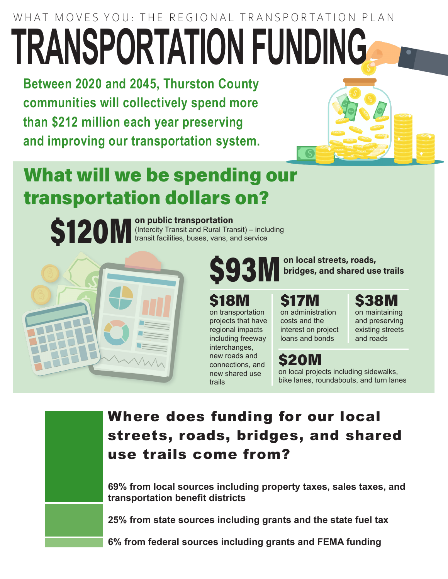# WHAT MOVES YOU: THE REGIONAL TRANSPORTATION PLAN **TRANSPORTATION FUNDING**

**Between 2020 and 2045, Thurston County communities will collectively spend more than \$212 million each year preserving and improving our transportation system.**



# What will we be spending our transportation dollars on?



(Intercity Transit and Rural Transit) – including transit facilities, buses, vans, and service



#### on local streets, roads, bridges, and shared use trails

#### \$18M

on transportation projects that have regional impacts including freeway interchanges, new roads and connections, and new shared use trails

\$17M on administration costs and the interest on project loans and bonds

#### \$20M

on local projects including sidewalks, bike lanes, roundabouts, and turn lanes

### Where does funding for our local streets, roads, bridges, and shared use trails come from?

**69% from local sources including property taxes, sales taxes, and transportation benefit districts**

**25% from state sources including grants and the state fuel tax** 

**6% from federal sources including grants and FEMA funding**

## \$38M

on maintaining and preserving existing streets and roads